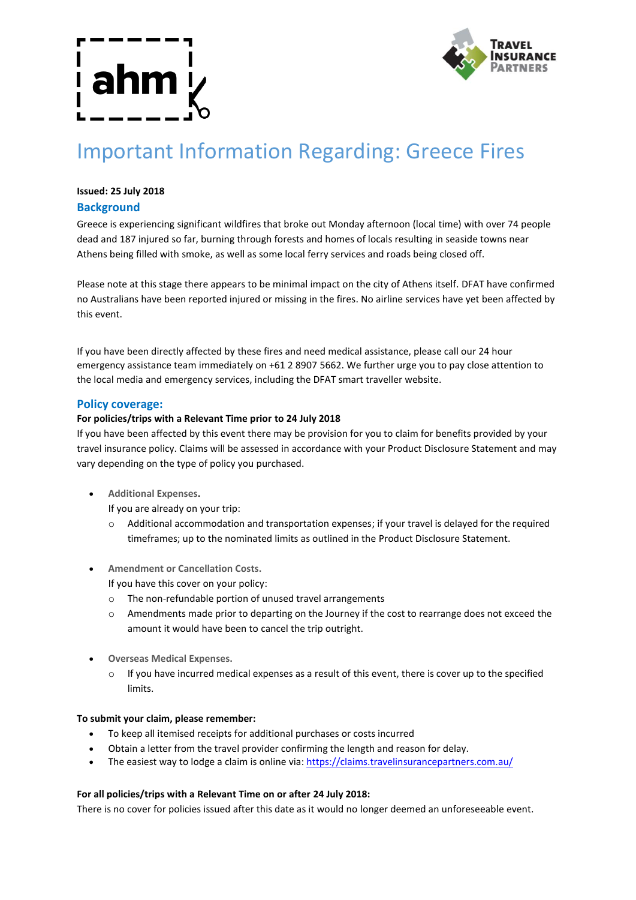

# Important Information Regarding: Greece Fires

# **Issued: 25 July 2018**

# **Background**

Greece is experiencing significant wildfires that broke out Monday afternoon (local time) with over 74 people dead and 187 injured so far, burning through forests and homes of locals resulting in seaside towns near Athens being filled with smoke, as well as some local ferry services and roads being closed off.

Please note at this stage there appears to be minimal impact on the city of Athens itself. DFAT have confirmed no Australians have been reported injured or missing in the fires. No airline services have yet been affected by this event.

If you have been directly affected by these fires and need medical assistance, please call our 24 hour emergency assistance team immediately on +61 2 8907 5662. We further urge you to pay close attention to the local media and emergency services, including the DFAT smart traveller website.

### **Policy coverage:**

#### **For policies/trips with a Relevant Time prior to 24 July 2018**

If you have been affected by this event there may be provision for you to claim for benefits provided by your travel insurance policy. Claims will be assessed in accordance with your Product Disclosure Statement and may vary depending on the type of policy you purchased.

**Additional Expenses.**

If you are already on your trip:

- o Additional accommodation and transportation expenses; if your travel is delayed for the required timeframes; up to the nominated limits as outlined in the Product Disclosure Statement.
- **Amendment or Cancellation Costs.**

If you have this cover on your policy:

- o The non-refundable portion of unused travel arrangements
- o Amendments made prior to departing on the Journey if the cost to rearrange does not exceed the amount it would have been to cancel the trip outright.
- **Overseas Medical Expenses.**
	- $\circ$  If you have incurred medical expenses as a result of this event, there is cover up to the specified limits.

#### **To submit your claim, please remember:**

- To keep all itemised receipts for additional purchases or costs incurred
- Obtain a letter from the travel provider confirming the length and reason for delay.
- The easiest way to lodge a claim is online via: https://claims.travelinsurancepartners.com.au/

#### **For all policies/trips with a Relevant Time on or after 24 July 2018:**

There is no cover for policies issued after this date as it would no longer deemed an unforeseeable event.